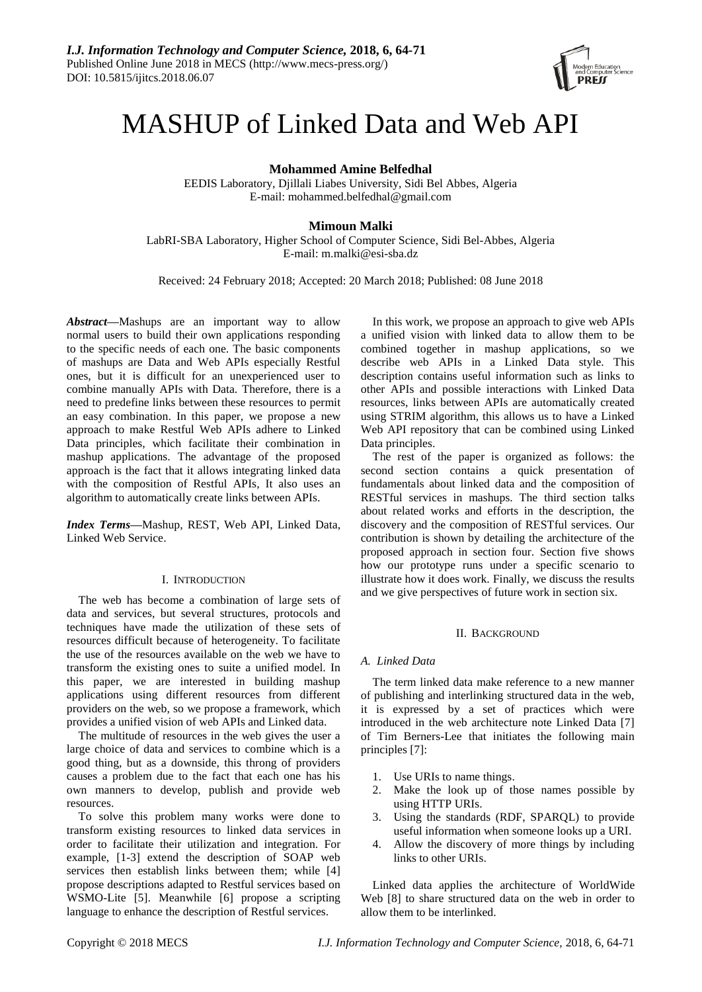

# MASHUP of Linked Data and Web API

**Mohammed Amine Belfedhal**

EEDIS Laboratory, Djillali Liabes University, Sidi Bel Abbes, Algeria E-mail: mohammed.belfedhal@gmail.com

# **Mimoun Malki**

LabRI-SBA Laboratory, Higher School of Computer Science, Sidi Bel-Abbes, Algeria E-mail: m.malki@esi-sba.dz

Received: 24 February 2018; Accepted: 20 March 2018; Published: 08 June 2018

*Abstract***—**Mashups are an important way to allow normal users to build their own applications responding to the specific needs of each one. The basic components of mashups are Data and Web APIs especially Restful ones, but it is difficult for an unexperienced user to combine manually APIs with Data. Therefore, there is a need to predefine links between these resources to permit an easy combination. In this paper, we propose a new approach to make Restful Web APIs adhere to Linked Data principles, which facilitate their combination in mashup applications. The advantage of the proposed approach is the fact that it allows integrating linked data with the composition of Restful APIs, It also uses an algorithm to automatically create links between APIs.

*Index Terms***—**Mashup, REST, Web API, Linked Data, Linked Web Service.

## I. INTRODUCTION

The web has become a combination of large sets of data and services, but several structures, protocols and techniques have made the utilization of these sets of resources difficult because of heterogeneity. To facilitate the use of the resources available on the web we have to transform the existing ones to suite a unified model. In this paper, we are interested in building mashup applications using different resources from different providers on the web, so we propose a framework, which provides a unified vision of web APIs and Linked data.

The multitude of resources in the web gives the user a large choice of data and services to combine which is a good thing, but as a downside, this throng of providers causes a problem due to the fact that each one has his own manners to develop, publish and provide web resources.

To solve this problem many works were done to transform existing resources to linked data services in order to facilitate their utilization and integration. For example, [1-3] extend the description of SOAP web services then establish links between them; while [4] propose descriptions adapted to Restful services based on WSMO-Lite [5]. Meanwhile [6] propose a scripting language to enhance the description of Restful services.

In this work, we propose an approach to give web APIs a unified vision with linked data to allow them to be combined together in mashup applications, so we describe web APIs in a Linked Data style. This description contains useful information such as links to other APIs and possible interactions with Linked Data resources, links between APIs are automatically created using STRIM algorithm, this allows us to have a Linked Web API repository that can be combined using Linked Data principles.

The rest of the paper is organized as follows: the second section contains a quick presentation of fundamentals about linked data and the composition of RESTful services in mashups. The third section talks about related works and efforts in the description, the discovery and the composition of RESTful services. Our contribution is shown by detailing the architecture of the proposed approach in section four. Section five shows how our prototype runs under a specific scenario to illustrate how it does work. Finally, we discuss the results and we give perspectives of future work in section six.

## II. BACKGROUND

## *A. Linked Data*

The term linked data make reference to a new manner of publishing and interlinking structured data in the web, it is expressed by a set of practices which were introduced in the web architecture note Linked Data [7] of Tim Berners-Lee that initiates the following main principles [7]:

- 1. Use URIs to name things.
- 2. Make the look up of those names possible by using HTTP URIs.
- 3. Using the standards (RDF, SPARQL) to provide useful information when someone looks up a URI.
- 4. Allow the discovery of more things by including links to other URIs.

Linked data applies the architecture of WorldWide Web [8] to share structured data on the web in order to allow them to be interlinked.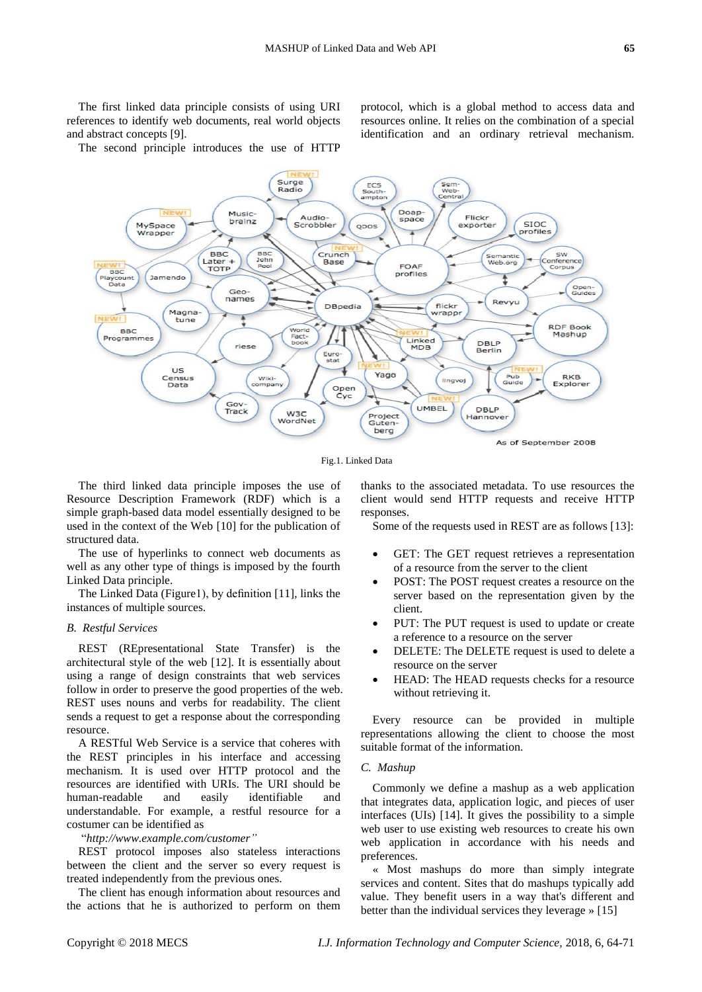The first linked data principle consists of using URI references to identify web documents, real world objects and abstract concepts [9].

protocol, which is a global method to access data and resources online. It relies on the combination of a special identification and an ordinary retrieval mechanism.

The second principle introduces the use of HTTP



Fig.1. Linked Data

The third linked data principle imposes the use of Resource Description Framework (RDF) which is a simple graph-based data model essentially designed to be used in the context of the Web [10] for the publication of structured data.

The use of hyperlinks to connect web documents as well as any other type of things is imposed by the fourth Linked Data principle.

The Linked Data (Figure1), by definition [11], links the instances of multiple sources.

## *B. Restful Services*

REST (REpresentational State Transfer) is the architectural style of the web [12]. It is essentially about using a range of design constraints that web services follow in order to preserve the good properties of the web. REST uses nouns and verbs for readability. The client sends a request to get a response about the corresponding resource.

A RESTful Web Service is a service that coheres with the REST principles in his interface and accessing mechanism. It is used over HTTP protocol and the resources are identified with URIs. The URI should be human-readable and easily identifiable and understandable. For example, a restful resource for a costumer can be identified as

"*http://www.example.com/customer"*

REST protocol imposes also stateless interactions between the client and the server so every request is treated independently from the previous ones.

The client has enough information about resources and the actions that he is authorized to perform on them thanks to the associated metadata. To use resources the client would send HTTP requests and receive HTTP responses.

Some of the requests used in REST are as follows [13]:

- GET: The GET request retrieves a representation of a resource from the server to the client
- POST: The POST request creates a resource on the server based on the representation given by the client.
- PUT: The PUT request is used to update or create a reference to a resource on the server
- DELETE: The DELETE request is used to delete a resource on the server
- HEAD: The HEAD requests checks for a resource without retrieving it.

Every resource can be provided in multiple representations allowing the client to choose the most suitable format of the information.

## *C. Mashup*

Commonly we define a mashup as a web application that integrates data, application logic, and pieces of user interfaces (UIs) [14]. It gives the possibility to a simple web user to use existing web resources to create his own web application in accordance with his needs and preferences.

« Most mashups do more than simply integrate services and content. Sites that do mashups typically add value. They benefit users in a way that's different and better than the individual services they leverage » [15]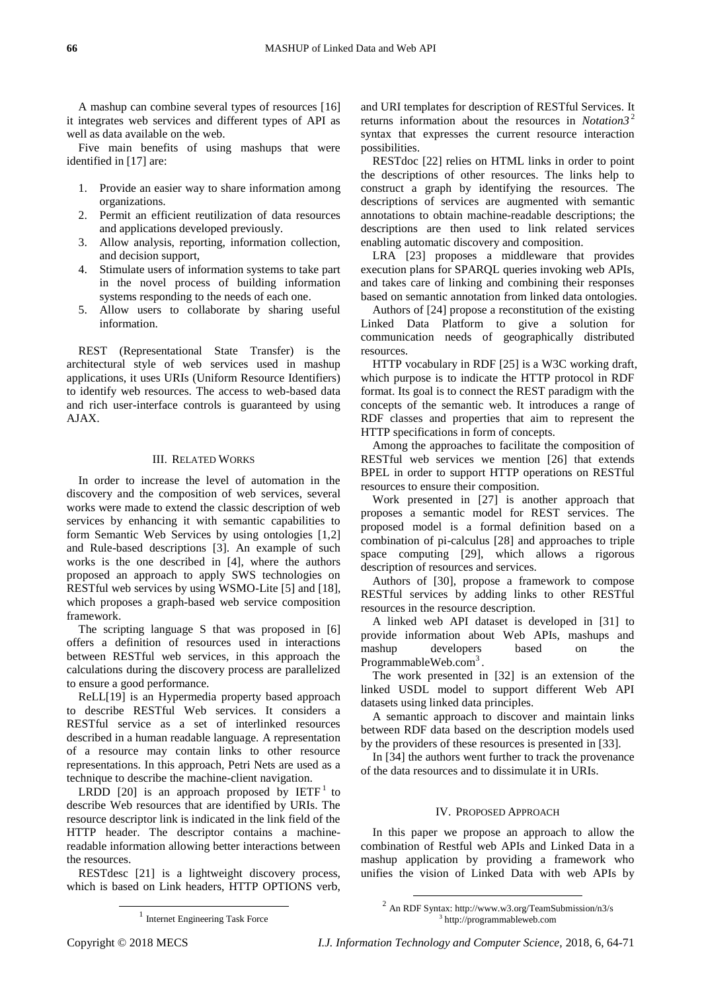A mashup can combine several types of resources [16] it integrates web services and different types of API as well as data available on the web.

Five main benefits of using mashups that were identified in [17] are:

- 1. Provide an easier way to share information among organizations.
- 2. Permit an efficient reutilization of data resources and applications developed previously.
- 3. Allow analysis, reporting, information collection, and decision support,
- 4. Stimulate users of information systems to take part in the novel process of building information systems responding to the needs of each one.
- 5. Allow users to collaborate by sharing useful information.

REST (Representational State Transfer) is the architectural style of web services used in mashup applications, it uses URIs (Uniform Resource Identifiers) to identify web resources. The access to web-based data and rich user-interface controls is guaranteed by using AJAX.

#### III. RELATED WORKS

In order to increase the level of automation in the discovery and the composition of web services, several works were made to extend the classic description of web services by enhancing it with semantic capabilities to form Semantic Web Services by using ontologies [1,2] and Rule-based descriptions [3]. An example of such works is the one described in [4], where the authors proposed an approach to apply SWS technologies on RESTful web services by using WSMO-Lite [5] and [18], which proposes a graph-based web service composition framework.

The scripting language S that was proposed in [6] offers a definition of resources used in interactions between RESTful web services, in this approach the calculations during the discovery process are parallelized to ensure a good performance.

ReLL[19] is an Hypermedia property based approach to describe RESTful Web services. It considers a RESTful service as a set of interlinked resources described in a human readable language. A representation of a resource may contain links to other resource representations. In this approach, Petri Nets are used as a technique to describe the machine-client navigation.

LRDD [20] is an approach proposed by  $IETF<sup>1</sup>$  to describe Web resources that are identified by URIs. The resource descriptor link is indicated in the link field of the HTTP header. The descriptor contains a machinereadable information allowing better interactions between the resources.

RESTdesc [21] is a lightweight discovery process, which is based on Link headers, HTTP OPTIONS verb,

RESTdoc [22] relies on HTML links in order to point the descriptions of other resources. The links help to construct a graph by identifying the resources. The descriptions of services are augmented with semantic annotations to obtain machine-readable descriptions; the descriptions are then used to link related services enabling automatic discovery and composition.

LRA [23] proposes a middleware that provides execution plans for SPARQL queries invoking web APIs, and takes care of linking and combining their responses based on semantic annotation from linked data ontologies.

Authors of [24] propose a reconstitution of the existing Linked Data Platform to give a solution for communication needs of geographically distributed resources.

HTTP vocabulary in RDF [25] is a W3C working draft, which purpose is to indicate the HTTP protocol in RDF format. Its goal is to connect the REST paradigm with the concepts of the semantic web. It introduces a range of RDF classes and properties that aim to represent the HTTP specifications in form of concepts.

Among the approaches to facilitate the composition of RESTful web services we mention [26] that extends BPEL in order to support HTTP operations on RESTful resources to ensure their composition.

Work presented in [27] is another approach that proposes a semantic model for REST services. The proposed model is a formal definition based on a combination of pi-calculus [28] and approaches to triple space computing [29], which allows a rigorous description of resources and services.

Authors of [30], propose a framework to compose RESTful services by adding links to other RESTful resources in the resource description.

A linked web API dataset is developed in [31] to provide information about Web APIs, mashups and mashup developers based on the ProgrammableWeb.com<sup>3</sup>.

The work presented in [32] is an extension of the linked USDL model to support different Web API datasets using linked data principles.

A semantic approach to discover and maintain links between RDF data based on the description models used by the providers of these resources is presented in [33].

In [34] the authors went further to track the provenance of the data resources and to dissimulate it in URIs.

## IV. PROPOSED APPROACH

In this paper we propose an approach to allow the combination of Restful web APIs and Linked Data in a mashup application by providing a framework who unifies the vision of Linked Data with web APIs by

 $2$  An RDF Syntax: http://www.w3.org/TeamSubmission/n3/s 3 http://programmableweb.com

-

1

and URI templates for description of RESTful Services. It returns information about the resources in *Notation3* <sup>2</sup> syntax that expresses the current resource interaction possibilities.

<sup>1</sup> Internet Engineering Task Force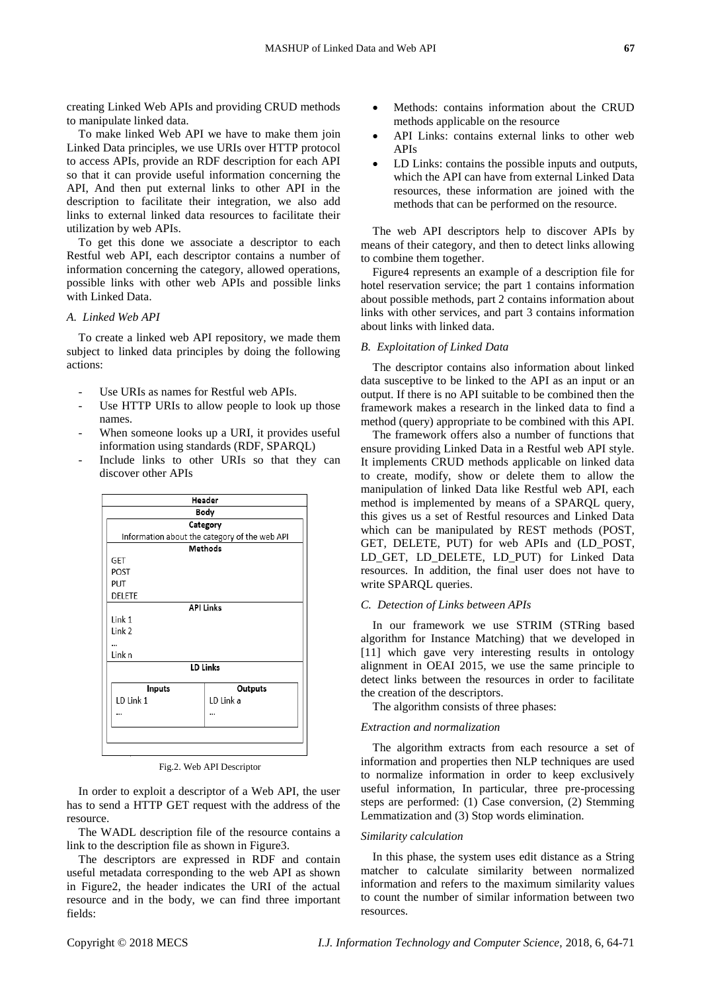creating Linked Web APIs and providing CRUD methods to manipulate linked data.

To make linked Web API we have to make them join Linked Data principles, we use URIs over HTTP protocol to access APIs, provide an RDF description for each API so that it can provide useful information concerning the API, And then put external links to other API in the description to facilitate their integration, we also add links to external linked data resources to facilitate their utilization by web APIs.

To get this done we associate a descriptor to each Restful web API, each descriptor contains a number of information concerning the category, allowed operations, possible links with other web APIs and possible links with Linked Data.

## *A. Linked Web API*

To create a linked web API repository, we made them subject to linked data principles by doing the following actions:

- Use URIs as names for Restful web APIs.
- Use HTTP URIs to allow people to look up those names.
- When someone looks up a URI, it provides useful information using standards (RDF, SPARQL)
- Include links to other URIs so that they can discover other APIs

| Header<br>Body                                |           |  |  |          |
|-----------------------------------------------|-----------|--|--|----------|
|                                               |           |  |  | Category |
| Information about the category of the web API |           |  |  |          |
| <b>Methods</b>                                |           |  |  |          |
| GET                                           |           |  |  |          |
| POST                                          |           |  |  |          |
| <b>PUT</b>                                    |           |  |  |          |
| DELETE                                        |           |  |  |          |
| <b>API Links</b>                              |           |  |  |          |
| Link 1                                        |           |  |  |          |
| Link 2                                        |           |  |  |          |
|                                               |           |  |  |          |
| Link n                                        |           |  |  |          |
| <b>LD Links</b>                               |           |  |  |          |
| <b>Inputs</b>                                 | Outputs   |  |  |          |
| LD Link 1                                     | LD Link a |  |  |          |
|                                               |           |  |  |          |
|                                               |           |  |  |          |
|                                               |           |  |  |          |
|                                               |           |  |  |          |

Fig.2. Web API Descriptor

In order to exploit a descriptor of a Web API, the user has to send a HTTP GET request with the address of the resource.

The WADL description file of the resource contains a link to the description file as shown in Figure3.

The descriptors are expressed in RDF and contain useful metadata corresponding to the web API as shown in Figure2, the header indicates the URI of the actual resource and in the body, we can find three important fields:

- Methods: contains information about the CRUD methods applicable on the resource
- API Links: contains external links to other web APIs
- LD Links: contains the possible inputs and outputs, which the API can have from external Linked Data resources, these information are joined with the methods that can be performed on the resource.

The web API descriptors help to discover APIs by means of their category, and then to detect links allowing to combine them together.

Figure4 represents an example of a description file for hotel reservation service; the part 1 contains information about possible methods, part 2 contains information about links with other services, and part 3 contains information about links with linked data.

## *B. Exploitation of Linked Data*

The descriptor contains also information about linked data susceptive to be linked to the API as an input or an output. If there is no API suitable to be combined then the framework makes a research in the linked data to find a method (query) appropriate to be combined with this API.

The framework offers also a number of functions that ensure providing Linked Data in a Restful web API style. It implements CRUD methods applicable on linked data to create, modify, show or delete them to allow the manipulation of linked Data like Restful web API, each method is implemented by means of a SPARQL query, this gives us a set of Restful resources and Linked Data which can be manipulated by REST methods (POST, GET, DELETE, PUT) for web APIs and (LD\_POST, LD\_GET, LD\_DELETE, LD\_PUT) for Linked Data resources. In addition, the final user does not have to write SPARQL queries.

### *C. Detection of Links between APIs*

In our framework we use STRIM (STRing based algorithm for Instance Matching) that we developed in [11] which gave very interesting results in ontology alignment in OEAI 2015, we use the same principle to detect links between the resources in order to facilitate the creation of the descriptors.

The algorithm consists of three phases:

#### *Extraction and normalization*

The algorithm extracts from each resource a set of information and properties then NLP techniques are used to normalize information in order to keep exclusively useful information, In particular, three pre-processing steps are performed: (1) Case conversion, (2) Stemming Lemmatization and (3) Stop words elimination.

## *Similarity calculation*

In this phase, the system uses edit distance as a String matcher to calculate similarity between normalized information and refers to the maximum similarity values to count the number of similar information between two resources.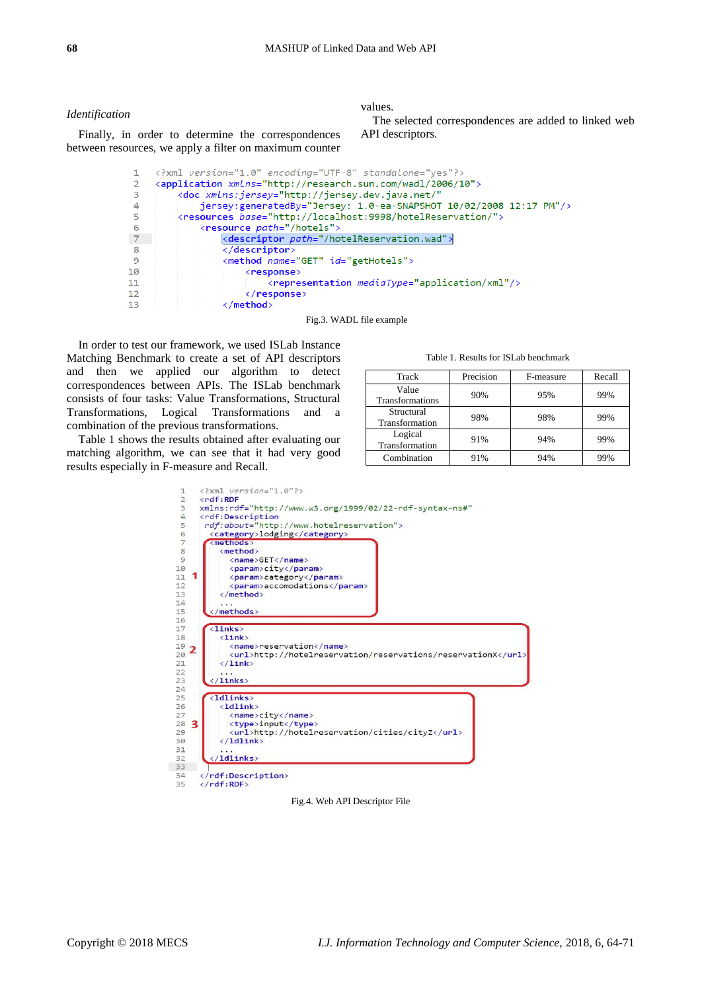#### *Identification*

values.

The selected correspondences are added to linked web API descriptors.

<?xml version="1.0" encoding="UTF-8" standalone="yes"?>  $\mathbf{1}$ <application xmLns="http://research.sun.com/wadl/2006/10">  $\mathcal{L}$  $\overline{3}$ <doc xmlns:jersey="http://jersey.dev.java.net/" jersey:generatedBy="Jersey: 1.0-ea-SNAPSHOT 10/02/2008 12:17 PM"/>  $\Delta$ <resources base="http://localhost:9998/hotelReservation/">  $\blacksquare$ 6 <resource path="/hotels">  $7<sup>7</sup>$ <descriptor path="/hotelReservation.wad">  $\mathbf{R}$ </descriptor> <method name="GET" id="getHotels"> 9 10 <response> <representation mediaType="application/xml"/>  $11$ </response>  $12$  $13$ </method>

Fig.3. WADL file example

In order to test our framework, we used ISLab Instance Matching Benchmark to create a set of API descriptors and then we applied our algorithm to detect correspondences between APIs. The ISLab benchmark consists of four tasks: Value Transformations, Structural Transformations, Logical Transformations and a combination of the previous transformations.

Finally, in order to determine the correspondences between resources, we apply a filter on maximum counter

Table 1 shows the results obtained after evaluating our matching algorithm, we can see that it had very good results especially in F-measure and Recall.

#### Table 1. Results for ISLab benchmark

| Track                        | Precision | F-measure | Recall |
|------------------------------|-----------|-----------|--------|
| Value<br>Transformations     | 90%       | 95%       | 99%    |
| Structural<br>Transformation | 98%       | 98%       | 99%    |
| Logical<br>Transformation    | 91%       | 94%       | 99%    |
| Combination                  | 91%       | 94%       | 99%    |



#### Fig.4. Web API Descriptor File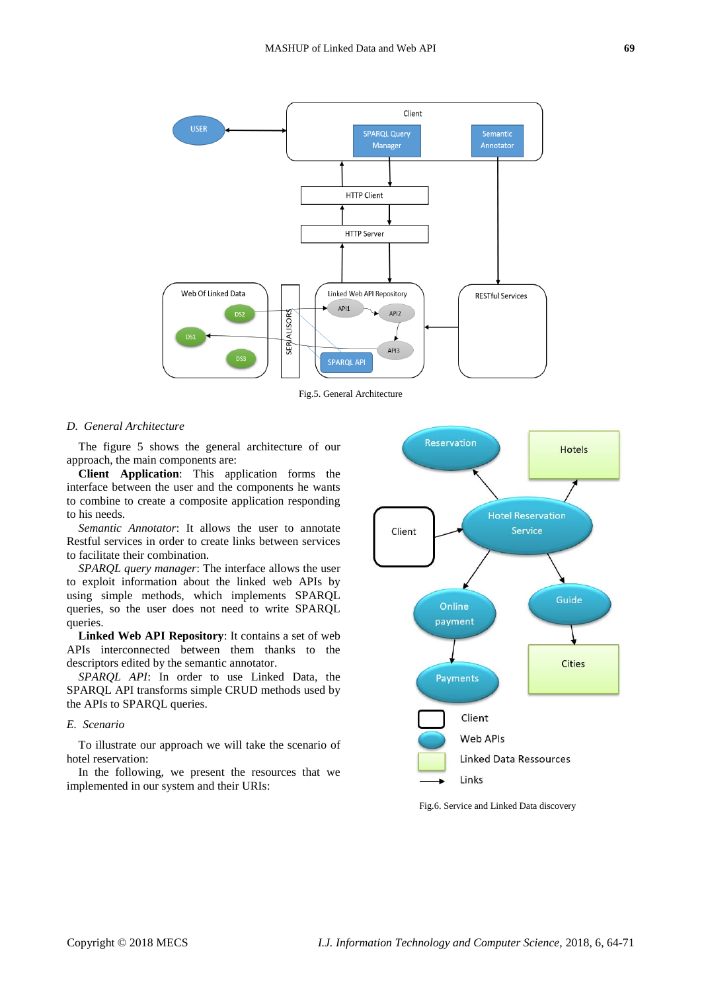

Fig.5. General Architecture

#### *D. General Architecture*

The figure 5 shows the general architecture of our approach, the main components are:

**Client Application**: This application forms the interface between the user and the components he wants to combine to create a composite application responding to his needs.

*Semantic Annotator*: It allows the user to annotate Restful services in order to create links between services to facilitate their combination.

*SPARQL query manager*: The interface allows the user to exploit information about the linked web APIs by using simple methods, which implements SPARQL queries, so the user does not need to write SPARQL queries.

**Linked Web API Repository**: It contains a set of web APIs interconnected between them thanks to the descriptors edited by the semantic annotator.

*SPARQL API*: In order to use Linked Data, the SPARQL API transforms simple CRUD methods used by the APIs to SPARQL queries.

## *E. Scenario*

To illustrate our approach we will take the scenario of hotel reservation:

In the following, we present the resources that we implemented in our system and their URIs:



Fig.6. Service and Linked Data discovery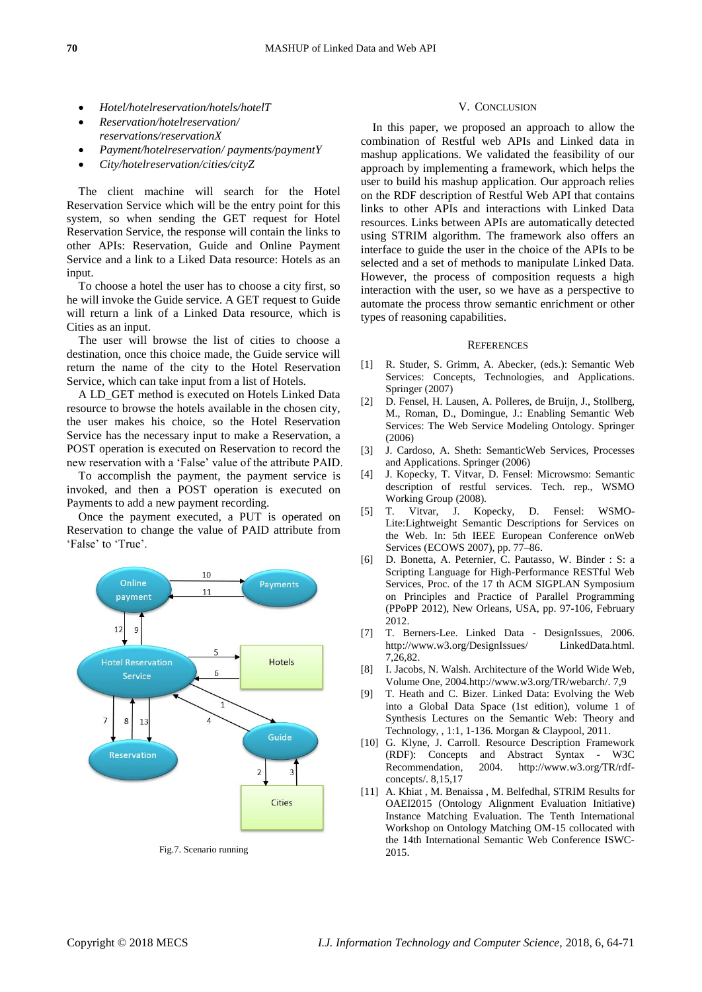- *Hotel/hotelreservation/hotels/hotelT*
- *Reservation/hotelreservation/ reservations/reservationX*
- *Payment/hotelreservation/ payments/paymentY*
- *City/hotelreservation/cities/cityZ*

The client machine will search for the Hotel Reservation Service which will be the entry point for this system, so when sending the GET request for Hotel Reservation Service, the response will contain the links to other APIs: Reservation, Guide and Online Payment Service and a link to a Liked Data resource: Hotels as an input.

To choose a hotel the user has to choose a city first, so he will invoke the Guide service. A GET request to Guide will return a link of a Linked Data resource, which is Cities as an input.

The user will browse the list of cities to choose a destination, once this choice made, the Guide service will return the name of the city to the Hotel Reservation Service, which can take input from a list of Hotels.

A LD\_GET method is executed on Hotels Linked Data resource to browse the hotels available in the chosen city, the user makes his choice, so the Hotel Reservation Service has the necessary input to make a Reservation, a POST operation is executed on Reservation to record the new reservation with a 'False' value of the attribute PAID.

To accomplish the payment, the payment service is invoked, and then a POST operation is executed on Payments to add a new payment recording.

Once the payment executed, a PUT is operated on Reservation to change the value of PAID attribute from 'False' to 'True'.



Fig.7. Scenario running

## V. CONCLUSION

In this paper, we proposed an approach to allow the combination of Restful web APIs and Linked data in mashup applications. We validated the feasibility of our approach by implementing a framework, which helps the user to build his mashup application. Our approach relies on the RDF description of Restful Web API that contains links to other APIs and interactions with Linked Data resources. Links between APIs are automatically detected using STRIM algorithm. The framework also offers an interface to guide the user in the choice of the APIs to be selected and a set of methods to manipulate Linked Data. However, the process of composition requests a high interaction with the user, so we have as a perspective to automate the process throw semantic enrichment or other types of reasoning capabilities.

#### **REFERENCES**

- [1] R. Studer, S. Grimm, A. Abecker, (eds.): Semantic Web Services: Concepts, Technologies, and Applications. Springer (2007)
- [2] D. Fensel, H. Lausen, A. Polleres, de Bruijn, J., Stollberg, M., Roman, D., Domingue, J.: Enabling Semantic Web Services: The Web Service Modeling Ontology. Springer (2006)
- [3] J. Cardoso, A. Sheth: SemanticWeb Services, Processes and Applications. Springer (2006)
- [4] J. Kopecky, T. Vitvar, D. Fensel: Microwsmo: Semantic description of restful services. Tech. rep., WSMO Working Group (2008).
- [5] T. Vitvar, J. Kopecky, D. Fensel: WSMO-Lite:Lightweight Semantic Descriptions for Services on the Web. In: 5th IEEE European Conference onWeb Services (ECOWS 2007), pp. 77–86.
- [6] D. Bonetta, A. Peternier, C. Pautasso, W. Binder : S: a Scripting Language for High-Performance RESTful Web Services, Proc. of the 17 th ACM SIGPLAN Symposium on Principles and Practice of Parallel Programming (PPoPP 2012), New Orleans, USA, pp. 97-106, February 2012.
- [7] T. Berners-Lee. Linked Data DesignIssues, 2006. http://www.w3.org/DesignIssues/ LinkedData.html. 7,26,82.
- [8] I. Jacobs, N. Walsh. Architecture of the World Wide Web, Volume One, 2004.http://www.w3.org/TR/webarch/. 7,9
- [9] T. Heath and C. Bizer. Linked Data: Evolving the Web into a Global Data Space (1st edition), volume 1 of Synthesis Lectures on the Semantic Web: Theory and Technology, , 1:1, 1-136. Morgan & Claypool, 2011.
- [10] G. Klyne, J. Carroll. Resource Description Framework (RDF): Concepts and Abstract Syntax - W3C<br>Recommendation, 2004. http://www.w3.org/TR/rdf-Recommendation, 2004. http://www.w3.org/TR/rdfconcepts/. 8,15,17
- [11] A. Khiat , M. Benaissa , M. Belfedhal, STRIM Results for OAEI2015 (Ontology Alignment Evaluation Initiative) Instance Matching Evaluation. The Tenth International Workshop on Ontology Matching OM-15 collocated with the 14th International Semantic Web Conference ISWC-2015.